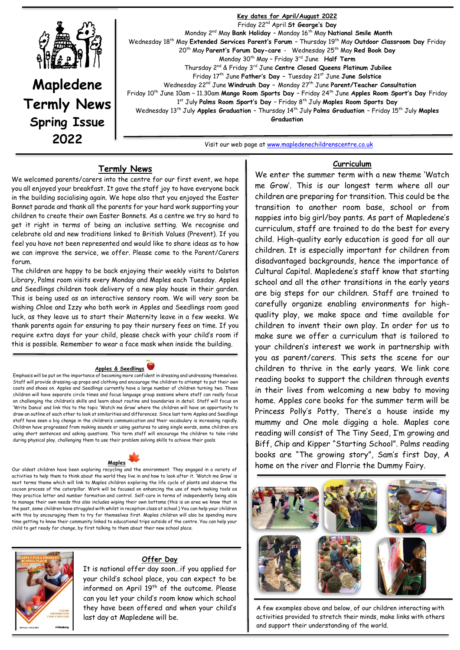

# **Mapledene Termly News Spring Issue 2022**

**Key dates for April/August 2022** Friday 22nd April **St George's Day** Monday 2 nd May **Bank Holiday** – Monday 16th May **National Smile Month** Wednesday 18th May **Extended Services Parent's Forum** – Thursday 19th May **Outdoor Classroom Day** Friday 20th May **Parent's Forum Day-care** - Wednesday 25th May **Red Book Day** Monday 30th May – Friday 3rd June **Half Term** Thursday 2nd & Friday 3rd June **Centre Closed Queens Platinum Jubilee**  Friday 17th June **Father's Day –** Tuesday 21st June **June Solstice** Wednesday 22nd June **Windrush Day –** Monday 27th June **Parent/Teacher Consultation**  Friday 10th June 10am – 11.30am **Mango Room Sports Day** – Friday 24th June **Apples Room Sport's Day** Friday 1 st July **Palms Room Sport's Day** – Friday 8th July **Maples Room Sports Day** Wednesday 13th July **Apples Graduation** – Thursday 14th July **Palms Graduation** – Friday 15th July **Maples Graduation** 

Visit our web page at <u>www.mapledenechildrenscentre.co.uk</u>

### **Termly News**

We welcomed parents/carers into the centre for our first event, we hope you all enjoyed your breakfast. It gave the staff joy to have everyone back in the building socialising again. We hope also that you enjoyed the Easter Bonnet parade and thank all the parents for your hard work supporting your children to create their own Easter Bonnets. As a centre we try so hard to get it right in terms of being an inclusive setting. We recognise and celebrate old and new traditions linked to British Values (Prevent). If you feel you have not been represented and would like to share ideas as to how we can improve the service, we offer. Please come to the Parent/Carers forum.

The children are happy to be back enjoying their weekly visits to Dalston Library, Palms room visits every Monday and Maples each Tuesday. Apples and Seedlings children took delivery of a new play house in their garden. This is being used as an interactive sensory room. We will very soon be wishing Chloe and Izzy who both work in Apples and Seedlings room good luck, as they leave us to start their Maternity leave in a few weeks. We thank parents again for ensuring to pay their nursery fees on time. If you require extra days for your child, please check with your child's room if this is possible. Remember to wear a face mask when inside the building.

### **Apples & Seedlings**

Emphasis will be put on the importance of becoming more confident in dressing and undressing themselves. Staff will provide dressing-up props and clothing and encourage the children to attempt to put their own coats and shoes on. Apples and Seedlings currently have a large number of children turning two. These children will have separate circle times and focus language group sessions where staff can really focus on challenging the children's skills and learn about routine and boundaries in detail. Staff will focus on 'Write Dance' and link this to the topic 'Watch me Grow' where the children will have an opportunity to draw an outline of each other to look at similarities and differences. Since last term Apples and Seedlings staff have seen a big change in the children's communication and their vocabulary is increasing rapidly. Children have progressed from making sounds or using gestures to using single words, some children are using short sentences and asking questions. This term staff will encourage the children to take risks during physical play, challenging them to use their problem solving skills to achieve their goals.



Our oldest children have been exploring recycling and the environment. They engaged in a variety of activities to help them to think about the world they live in and how to look after it. 'Watch me Grow' is next terms theme which will link to Maples children exploring the life cycle of plants and observe the cocoon process of the caterpillar. Work will be focused on enhancing the use of mark making tools as they practice letter and number formation and control. Self-care in terms of independently being able to manage their own needs this also includes wiping their own bottoms (this is an area we know that in the past, some children have struggled with whilst in reception class at school.) You can help your children with this by encouraging them to try for themselves first. Maples children will also be spending more time getting to know their community linked to educational trips outside of the centre. You can help your child to get ready for change, by first talking to them about their new school place.



### **Offer Day**

It is national offer day soon…if you applied for your child's school place, you can expect to be informed on April 19<sup>th</sup> of the outcome. Please can you let your child's room know which school they have been offered and when your child's last day at Mapledene will be.

# Friday 18th March **Red nose/Comic Relief -** Friday 25th March **Mother's Day** Monday 21st March **Parent/Teacher Consultations -** Tuesday 19th April **Inset Day Centre Closed Curriculum**

We enter the summer term with a new theme 'Watch me Grow'. This is our longest term where all our children are preparing for transition. This could be the transition to another room base, school or from nappies into big girl/boy pants. As part of Mapledene's curriculum, staff are trained to do the best for every child. High-quality early education is good for all our children. It is especially important for children from disadvantaged backgrounds, hence the importance of Cultural Capital. Mapledene's staff know that starting school and all the other transitions in the early years are big steps for our children. Staff are trained to carefully organize enabling environments for highquality play, we make space and time available for children to invent their own play. In order for us to make sure we offer a curriculum that is tailored to your children's interest we work in partnership with you as parent/carers. This sets the scene for our children to thrive in the early years. We link core reading books to support the children through events in their lives from welcoming a new baby to moving home. Apples core books for the summer term will be Princess Polly's Potty, There's a house inside my mummy and One mole digging a hole. Maples core reading will consist of The Tiny Seed, I'm growing and Biff, Chip and Kipper "Starting School". Palms reading books are "The growing story", Sam's first Day, A home on the river and Florrie the Dummy Fairy.



A few examples above and below, of our children interacting with activities provided to stretch their minds, make links with others and support their understanding of the world.